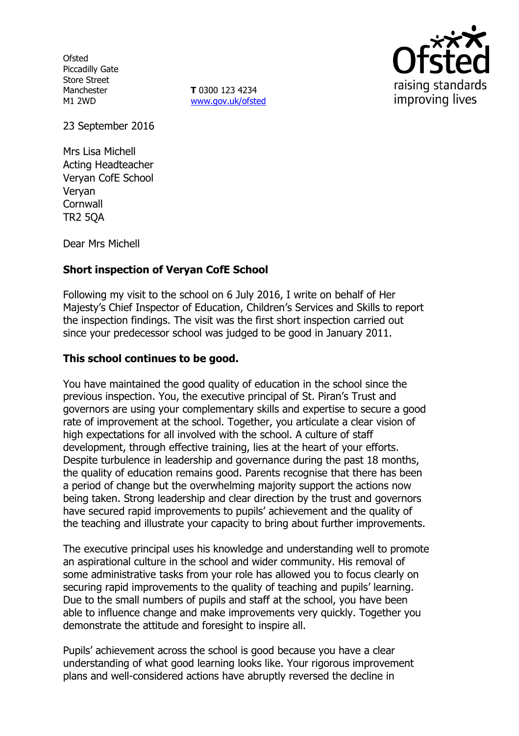**Ofsted** Piccadilly Gate Store Street Manchester M1 2WD

**T** 0300 123 4234 www.gov.uk/ofsted



23 September 2016

Mrs Lisa Michell Acting Headteacher Veryan CofE School Veryan **Cornwall** TR2 5QA

Dear Mrs Michell

# **Short inspection of Veryan CofE School**

Following my visit to the school on 6 July 2016, I write on behalf of Her Majesty's Chief Inspector of Education, Children's Services and Skills to report the inspection findings. The visit was the first short inspection carried out since your predecessor school was judged to be good in January 2011.

## **This school continues to be good.**

You have maintained the good quality of education in the school since the previous inspection. You, the executive principal of St. Piran's Trust and governors are using your complementary skills and expertise to secure a good rate of improvement at the school. Together, you articulate a clear vision of high expectations for all involved with the school. A culture of staff development, through effective training, lies at the heart of your efforts. Despite turbulence in leadership and governance during the past 18 months, the quality of education remains good. Parents recognise that there has been a period of change but the overwhelming majority support the actions now being taken. Strong leadership and clear direction by the trust and governors have secured rapid improvements to pupils' achievement and the quality of the teaching and illustrate your capacity to bring about further improvements.

The executive principal uses his knowledge and understanding well to promote an aspirational culture in the school and wider community. His removal of some administrative tasks from your role has allowed you to focus clearly on securing rapid improvements to the quality of teaching and pupils' learning. Due to the small numbers of pupils and staff at the school, you have been able to influence change and make improvements very quickly. Together you demonstrate the attitude and foresight to inspire all.

Pupils' achievement across the school is good because you have a clear understanding of what good learning looks like. Your rigorous improvement plans and well-considered actions have abruptly reversed the decline in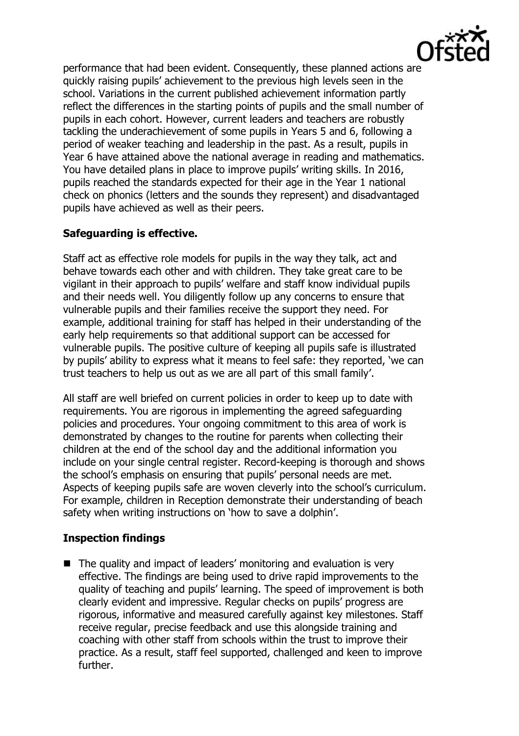

performance that had been evident. Consequently, these planned actions are quickly raising pupils' achievement to the previous high levels seen in the school. Variations in the current published achievement information partly reflect the differences in the starting points of pupils and the small number of pupils in each cohort. However, current leaders and teachers are robustly tackling the underachievement of some pupils in Years 5 and 6, following a period of weaker teaching and leadership in the past. As a result, pupils in Year 6 have attained above the national average in reading and mathematics. You have detailed plans in place to improve pupils' writing skills. In 2016, pupils reached the standards expected for their age in the Year 1 national check on phonics (letters and the sounds they represent) and disadvantaged pupils have achieved as well as their peers.

## **Safeguarding is effective.**

Staff act as effective role models for pupils in the way they talk, act and behave towards each other and with children. They take great care to be vigilant in their approach to pupils' welfare and staff know individual pupils and their needs well. You diligently follow up any concerns to ensure that vulnerable pupils and their families receive the support they need. For example, additional training for staff has helped in their understanding of the early help requirements so that additional support can be accessed for vulnerable pupils. The positive culture of keeping all pupils safe is illustrated by pupils' ability to express what it means to feel safe: they reported, 'we can trust teachers to help us out as we are all part of this small family'.

All staff are well briefed on current policies in order to keep up to date with requirements. You are rigorous in implementing the agreed safeguarding policies and procedures. Your ongoing commitment to this area of work is demonstrated by changes to the routine for parents when collecting their children at the end of the school day and the additional information you include on your single central register. Record-keeping is thorough and shows the school's emphasis on ensuring that pupils' personal needs are met. Aspects of keeping pupils safe are woven cleverly into the school's curriculum. For example, children in Reception demonstrate their understanding of beach safety when writing instructions on 'how to save a dolphin'.

# **Inspection findings**

■ The quality and impact of leaders' monitoring and evaluation is very effective. The findings are being used to drive rapid improvements to the quality of teaching and pupils' learning. The speed of improvement is both clearly evident and impressive. Regular checks on pupils' progress are rigorous, informative and measured carefully against key milestones. Staff receive regular, precise feedback and use this alongside training and coaching with other staff from schools within the trust to improve their practice. As a result, staff feel supported, challenged and keen to improve further.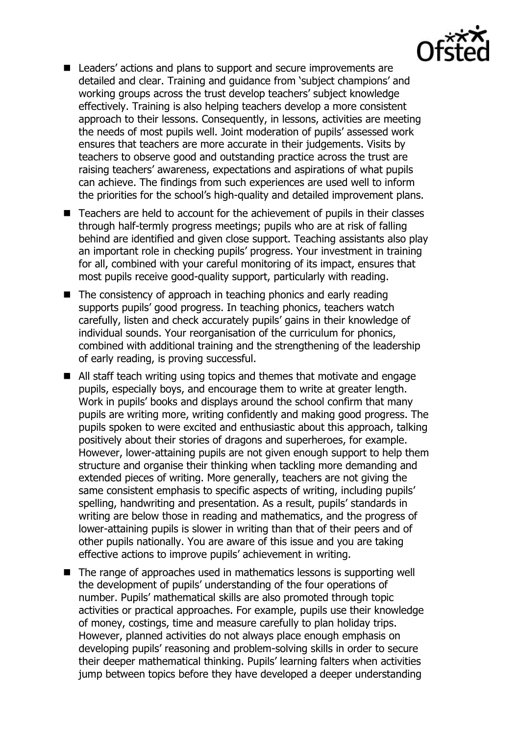

- Leaders' actions and plans to support and secure improvements are detailed and clear. Training and guidance from 'subject champions' and working groups across the trust develop teachers' subject knowledge effectively. Training is also helping teachers develop a more consistent approach to their lessons. Consequently, in lessons, activities are meeting the needs of most pupils well. Joint moderation of pupils' assessed work ensures that teachers are more accurate in their judgements. Visits by teachers to observe good and outstanding practice across the trust are raising teachers' awareness, expectations and aspirations of what pupils can achieve. The findings from such experiences are used well to inform the priorities for the school's high-quality and detailed improvement plans.
- Teachers are held to account for the achievement of pupils in their classes through half-termly progress meetings; pupils who are at risk of falling behind are identified and given close support. Teaching assistants also play an important role in checking pupils' progress. Your investment in training for all, combined with your careful monitoring of its impact, ensures that most pupils receive good-quality support, particularly with reading.
- The consistency of approach in teaching phonics and early reading supports pupils' good progress. In teaching phonics, teachers watch carefully, listen and check accurately pupils' gains in their knowledge of individual sounds. Your reorganisation of the curriculum for phonics, combined with additional training and the strengthening of the leadership of early reading, is proving successful.
- All staff teach writing using topics and themes that motivate and engage pupils, especially boys, and encourage them to write at greater length. Work in pupils' books and displays around the school confirm that many pupils are writing more, writing confidently and making good progress. The pupils spoken to were excited and enthusiastic about this approach, talking positively about their stories of dragons and superheroes, for example. However, lower-attaining pupils are not given enough support to help them structure and organise their thinking when tackling more demanding and extended pieces of writing. More generally, teachers are not giving the same consistent emphasis to specific aspects of writing, including pupils' spelling, handwriting and presentation. As a result, pupils' standards in writing are below those in reading and mathematics, and the progress of lower-attaining pupils is slower in writing than that of their peers and of other pupils nationally. You are aware of this issue and you are taking effective actions to improve pupils' achievement in writing.
- The range of approaches used in mathematics lessons is supporting well the development of pupils' understanding of the four operations of number. Pupils' mathematical skills are also promoted through topic activities or practical approaches. For example, pupils use their knowledge of money, costings, time and measure carefully to plan holiday trips. However, planned activities do not always place enough emphasis on developing pupils' reasoning and problem-solving skills in order to secure their deeper mathematical thinking. Pupils' learning falters when activities jump between topics before they have developed a deeper understanding